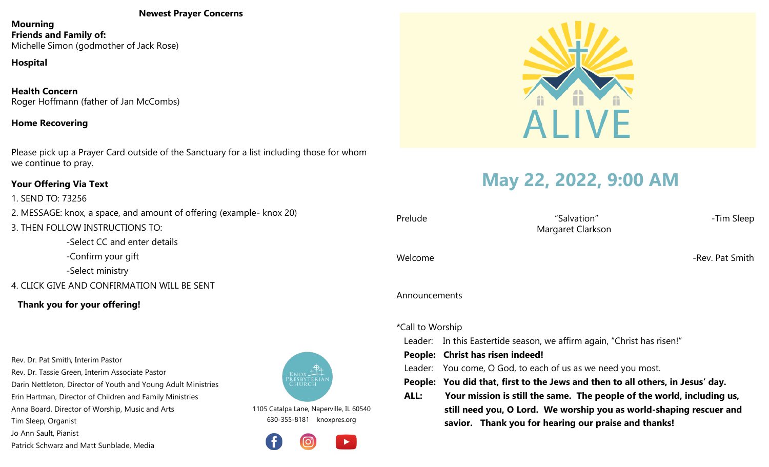#### **Newest Prayer Concerns**

**Mourning Friends and Family of:** Michelle Simon (godmother of Jack Rose)

# **Hospital**

**Health Concern** Roger Hoffmann (father of Jan McCombs)

### **Home Recovering**

Please pick up a Prayer Card outside of the Sanctuary for a list including those for whom we continue to pray.

#### **Your Offering Via Text**

1. SEND TO: 73256 2. MESSAGE: knox, a space, and amount of offering (example- knox 20) 3. THEN FOLLOW INSTRUCTIONS TO: -Select CC and enter details -Confirm your gift

-Select ministry

# 4. CLICK GIVE AND CONFIRMATION WILL BE SENT

# **Thank you for your offering!**

Rev. Dr. Pat Smith, Interim Pastor Rev. Dr. Tassie Green, Interim Associate Pastor

Darin Nettleton, Director of Youth and Young Adult Ministries

Erin Hartman, Director of Children and Family Ministries

Anna Board, Director of Worship, Music and Arts

Tim Sleep, Organist

Jo Ann Sault, Pianist

Patrick Schwarz and Matt Sunblade, Media



1105 Catalpa Lane, Naperville, IL 60540 630-355-8181 knoxpres.org





# **May 22, 2022, 9:00 AM**

| Prelude          | "Salvation"<br>Margaret Clarkson                                               | -Tim Sleep      |  |  |
|------------------|--------------------------------------------------------------------------------|-----------------|--|--|
| Welcome          |                                                                                | -Rev. Pat Smith |  |  |
| Announcements    |                                                                                |                 |  |  |
| *Call to Worship |                                                                                |                 |  |  |
|                  | Leader: In this Eastertide season, we affirm again, "Christ has risen!"        |                 |  |  |
|                  | People: Christ has risen indeed!                                               |                 |  |  |
| Leader:          | You come, O God, to each of us as we need you most.                            |                 |  |  |
|                  | People: You did that, first to the Jews and then to all others, in Jesus' day. |                 |  |  |
| ALL:             | Your mission is still the same. The people of the world, including us,         |                 |  |  |
|                  | still need you, O Lord. We worship you as world-shaping rescuer and            |                 |  |  |

 **savior. Thank you for hearing our praise and thanks!**